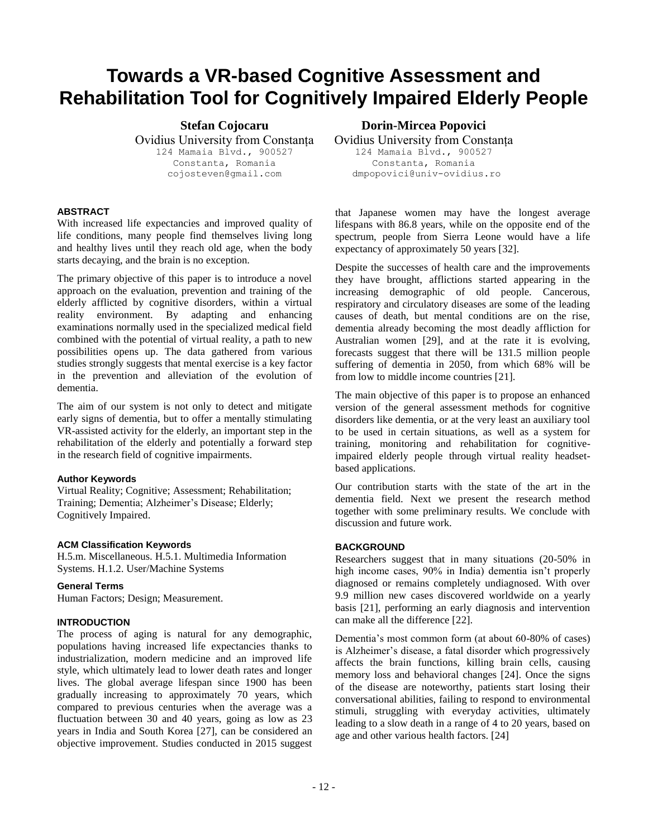# **Towards a VR-based Cognitive Assessment and Rehabilitation Tool for Cognitively Impaired Elderly People**

**Stefan Cojocaru**  Ovidius University from Constanța 124 Mamaia Blvd., 900527 Constanta, Romania cojosteven@gmail.com

# **ABSTRACT**

With increased life expectancies and improved quality of life conditions, many people find themselves living long and healthy lives until they reach old age, when the body starts decaying, and the brain is no exception.

The primary objective of this paper is to introduce a novel approach on the evaluation, prevention and training of the elderly afflicted by cognitive disorders, within a virtual reality environment. By adapting and enhancing examinations normally used in the specialized medical field combined with the potential of virtual reality, a path to new possibilities opens up. The data gathered from various studies strongly suggests that mental exercise is a key factor in the prevention and alleviation of the evolution of dementia.

The aim of our system is not only to detect and mitigate early signs of dementia, but to offer a mentally stimulating VR-assisted activity for the elderly, an important step in the rehabilitation of the elderly and potentially a forward step in the research field of cognitive impairments.

### **Author Keywords**

Virtual Reality; Cognitive; Assessment; Rehabilitation; Training; Dementia; Alzheimer's Disease; Elderly; Cognitively Impaired.

### **ACM Classification Keywords**

H.5.m. Miscellaneous. H.5.1. Multimedia Information Systems. H.1.2. User/Machine Systems

# **General Terms**

Human Factors; Design; Measurement.

### **INTRODUCTION**

The process of aging is natural for any demographic, populations having increased life expectancies thanks to industrialization, modern medicine and an improved life style, which ultimately lead to lower death rates and longer lives. The global average lifespan since 1900 has been gradually increasing to approximately 70 years, which compared to previous centuries when the average was a fluctuation between 30 and 40 years, going as low as 23 years in India and South Korea [27], can be considered an objective improvement. Studies conducted in 2015 suggest

**Dorin-Mircea Popovici**

Ovidius University from Constanța 124 Mamaia Blvd., 900527 Constanta, Romania

dmpopovici@univ-ovidius.ro

that Japanese women may have the longest average lifespans with 86.8 years, while on the opposite end of the spectrum, people from Sierra Leone would have a life expectancy of approximately 50 years [32].

Despite the successes of health care and the improvements they have brought, afflictions started appearing in the increasing demographic of old people. Cancerous, respiratory and circulatory diseases are some of the leading causes of death, but mental conditions are on the rise, dementia already becoming the most deadly affliction for Australian women [29], and at the rate it is evolving, forecasts suggest that there will be 131.5 million people suffering of dementia in 2050, from which 68% will be from low to middle income countries [21].

The main objective of this paper is to propose an enhanced version of the general assessment methods for cognitive disorders like dementia, or at the very least an auxiliary tool to be used in certain situations, as well as a system for training, monitoring and rehabilitation for cognitiveimpaired elderly people through virtual reality headsetbased applications.

Our contribution starts with the state of the art in the dementia field. Next we present the research method together with some preliminary results. We conclude with discussion and future work.

## **BACKGROUND**

Researchers suggest that in many situations (20-50% in high income cases, 90% in India) dementia isn't properly diagnosed or remains completely undiagnosed. With over 9.9 million new cases discovered worldwide on a yearly basis [21], performing an early diagnosis and intervention can make all the difference [22].

Dementia's most common form (at about 60-80% of cases) is Alzheimer's disease, a fatal disorder which progressively affects the brain functions, killing brain cells, causing memory loss and behavioral changes [24]. Once the signs of the disease are noteworthy, patients start losing their conversational abilities, failing to respond to environmental stimuli, struggling with everyday activities, ultimately leading to a slow death in a range of 4 to 20 years, based on age and other various health factors. [24]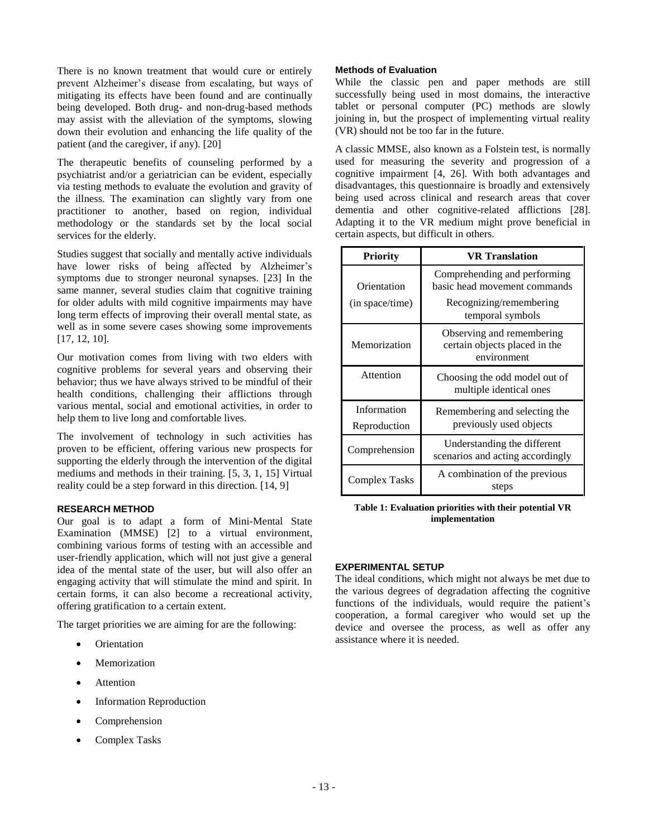There is no known treatment that would cure or entirely prevent Alzheimer's disease from escalating, but ways of mitigating its effects have been found and are continually being developed. Both drug- and non-drug-based methods may assist with the alleviation of the symptoms, slowing down their evolution and enhancing the life quality of the patient (and the caregiver, if any). [20]

The therapeutic benefits of counseling performed by a psychiatrist and/or a geriatrician can be evident, especially via testing methods to evaluate the evolution and gravity of the illness. The examination can slightly vary from one practitioner to another, based on region, individual methodology or the standards set by the local social services for the elderly.

Studies suggest that socially and mentally active individuals have lower risks of being affected by Alzheimer's symptoms due to stronger neuronal synapses. [23] In the same manner, several studies claim that cognitive training for older adults with mild cognitive impairments may have long term effects of improving their overall mental state, as well as in some severe cases showing some improvements [17, 12, 10].

Our motivation comes from living with two elders with cognitive problems for several years and observing their behavior; thus we have always strived to be mindful of their health conditions, challenging their afflictions through various mental, social and emotional activities, in order to help them to live long and comfortable lives.

The involvement of technology in such activities has proven to be efficient, offering various new prospects for supporting the elderly through the intervention of the digital mediums and methods in their training. [5, 3, 1, 15] Virtual reality could be a step forward in this direction. [14, 9]

### **RESEARCH METHOD**

Our goal is to adapt a form of Mini-Mental State Examination (MMSE) [2] to a virtual environment, combining various forms of testing with an accessible and user-friendly application, which will not just give a general idea of the mental state of the user, but will also offer an engaging activity that will stimulate the mind and spirit. In certain forms, it can also become a recreational activity, offering gratification to a certain extent.

The target priorities we are aiming for are the following:

- **Orientation**
- **Memorization**
- **Attention**
- Information Reproduction
- Comprehension
- Complex Tasks

## **Methods of Evaluation**

While the classic pen and paper methods are still successfully being used in most domains, the interactive tablet or personal computer (PC) methods are slowly joining in, but the prospect of implementing virtual reality (VR) should not be too far in the future.

A classic MMSE, also known as a Folstein test, is normally used for measuring the severity and progression of a cognitive impairment [4, 26]. With both advantages and disadvantages, this questionnaire is broadly and extensively being used across clinical and research areas that cover dementia and other cognitive-related afflictions [28]. Adapting it to the VR medium might prove beneficial in certain aspects, but difficult in others.

| <b>Priority</b>             | VR Translation                                                            |  |  |
|-----------------------------|---------------------------------------------------------------------------|--|--|
| Orientation                 | Comprehending and performing<br>basic head movement commands              |  |  |
| (in space/time)             | Recognizing/remembering<br>temporal symbols                               |  |  |
| Memorization                | Observing and remembering<br>certain objects placed in the<br>environment |  |  |
| Attention                   | Choosing the odd model out of<br>multiple identical ones                  |  |  |
| Information<br>Reproduction | Remembering and selecting the<br>previously used objects                  |  |  |
| Comprehension               | Understanding the different<br>scenarios and acting accordingly           |  |  |
| Complex Tasks               | A combination of the previous<br>steps                                    |  |  |

#### **Table 1: Evaluation priorities with their potential VR implementation**

### **EXPERIMENTAL SETUP**

The ideal conditions, which might not always be met due to the various degrees of degradation affecting the cognitive functions of the individuals, would require the patient's cooperation, a formal caregiver who would set up the device and oversee the process, as well as offer any assistance where it is needed.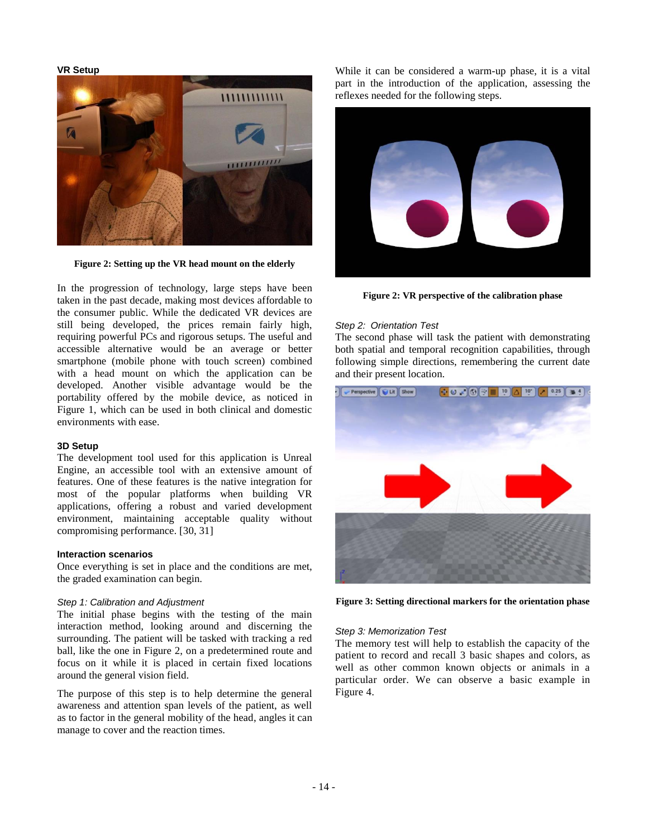## **VR Setup**



**Figure 2: Setting up the VR head mount on the elderly**

In the progression of technology, large steps have been taken in the past decade, making most devices affordable to the consumer public. While the dedicated VR devices are still being developed, the prices remain fairly high, requiring powerful PCs and rigorous setups. The useful and accessible alternative would be an average or better smartphone (mobile phone with touch screen) combined with a head mount on which the application can be developed. Another visible advantage would be the portability offered by the mobile device, as noticed in Figure 1, which can be used in both clinical and domestic environments with ease.

#### **3D Setup**

The development tool used for this application is Unreal Engine, an accessible tool with an extensive amount of features. One of these features is the native integration for most of the popular platforms when building VR applications, offering a robust and varied development environment, maintaining acceptable quality without compromising performance. [30, 31]

#### **Interaction scenarios**

Once everything is set in place and the conditions are met, the graded examination can begin.

#### *Step 1: Calibration and Adjustment*

The initial phase begins with the testing of the main interaction method, looking around and discerning the surrounding. The patient will be tasked with tracking a red ball, like the one in Figure 2, on a predetermined route and focus on it while it is placed in certain fixed locations around the general vision field.

The purpose of this step is to help determine the general awareness and attention span levels of the patient, as well as to factor in the general mobility of the head, angles it can manage to cover and the reaction times.

While it can be considered a warm-up phase, it is a vital part in the introduction of the application, assessing the reflexes needed for the following steps.



**Figure 2: VR perspective of the calibration phase**

## *Step 2: Orientation Test*

The second phase will task the patient with demonstrating both spatial and temporal recognition capabilities, through following simple directions, remembering the current date and their present location.



**Figure 3: Setting directional markers for the orientation phase**

#### *Step 3: Memorization Test*

The memory test will help to establish the capacity of the patient to record and recall 3 basic shapes and colors, as well as other common known objects or animals in a particular order. We can observe a basic example in Figure 4.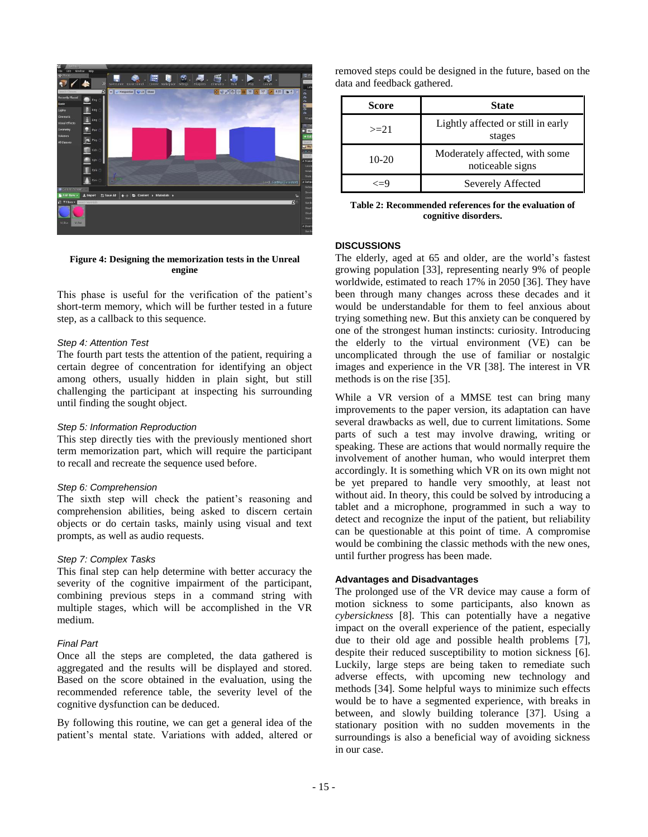

#### **Figure 4: Designing the memorization tests in the Unreal engine**

This phase is useful for the verification of the patient's short-term memory, which will be further tested in a future step, as a callback to this sequence.

# *Step 4: Attention Test*

The fourth part tests the attention of the patient, requiring a certain degree of concentration for identifying an object among others, usually hidden in plain sight, but still challenging the participant at inspecting his surrounding until finding the sought object.

### *Step 5: Information Reproduction*

This step directly ties with the previously mentioned short term memorization part, which will require the participant to recall and recreate the sequence used before.

### *Step 6: Comprehension*

The sixth step will check the patient's reasoning and comprehension abilities, being asked to discern certain objects or do certain tasks, mainly using visual and text prompts, as well as audio requests.

# *Step 7: Complex Tasks*

This final step can help determine with better accuracy the severity of the cognitive impairment of the participant, combining previous steps in a command string with multiple stages, which will be accomplished in the VR medium.

### *Final Part*

Once all the steps are completed, the data gathered is aggregated and the results will be displayed and stored. Based on the score obtained in the evaluation, using the recommended reference table, the severity level of the cognitive dysfunction can be deduced.

By following this routine, we can get a general idea of the patient's mental state. Variations with added, altered or

| removed steps could be designed in the future, based on the |  |  |
|-------------------------------------------------------------|--|--|
| data and feedback gathered.                                 |  |  |

| Score   | <b>State</b>                                       |
|---------|----------------------------------------------------|
| $>=21$  | Lightly affected or still in early<br>stages       |
| $10-20$ | Moderately affected, with some<br>noticeable signs |
| ∕—ч     | Severely Affected                                  |

**Table 2: Recommended references for the evaluation of cognitive disorders.**

# **DISCUSSIONS**

The elderly, aged at 65 and older, are the world's fastest growing population [33], representing nearly 9% of people worldwide, estimated to reach 17% in 2050 [36]. They have been through many changes across these decades and it would be understandable for them to feel anxious about trying something new. But this anxiety can be conquered by one of the strongest human instincts: curiosity. Introducing the elderly to the virtual environment (VE) can be uncomplicated through the use of familiar or nostalgic images and experience in the VR [38]. The interest in VR methods is on the rise [35].

While a VR version of a MMSE test can bring many improvements to the paper version, its adaptation can have several drawbacks as well, due to current limitations. Some parts of such a test may involve drawing, writing or speaking. These are actions that would normally require the involvement of another human, who would interpret them accordingly. It is something which VR on its own might not be yet prepared to handle very smoothly, at least not without aid. In theory, this could be solved by introducing a tablet and a microphone, programmed in such a way to detect and recognize the input of the patient, but reliability can be questionable at this point of time. A compromise would be combining the classic methods with the new ones, until further progress has been made.

# **Advantages and Disadvantages**

The prolonged use of the VR device may cause a form of motion sickness to some participants, also known as *cybersickness* [8]. This can potentially have a negative impact on the overall experience of the patient, especially due to their old age and possible health problems [7], despite their reduced susceptibility to motion sickness [6]. Luckily, large steps are being taken to remediate such adverse effects, with upcoming new technology and methods [34]. Some helpful ways to minimize such effects would be to have a segmented experience, with breaks in between, and slowly building tolerance [37]. Using a stationary position with no sudden movements in the surroundings is also a beneficial way of avoiding sickness in our case.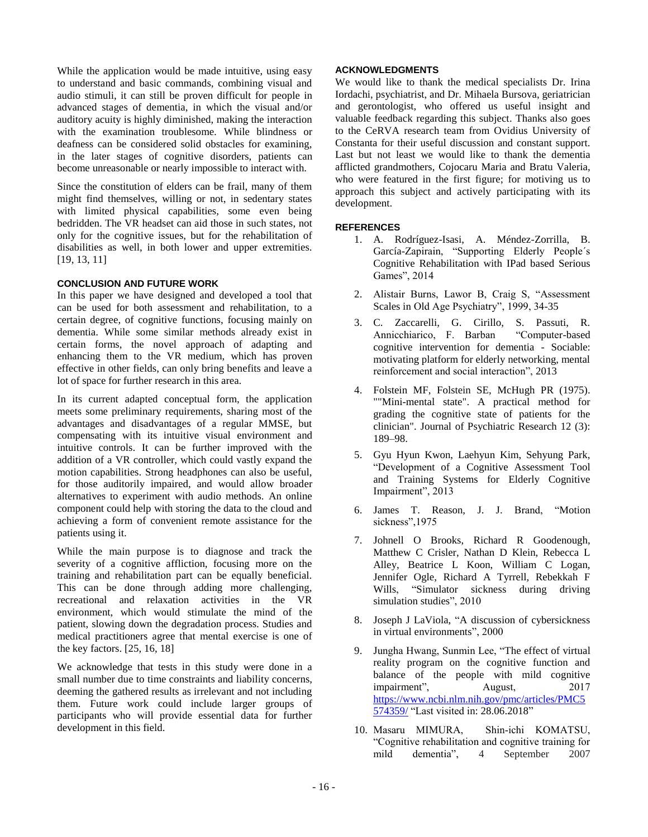While the application would be made intuitive, using easy to understand and basic commands, combining visual and audio stimuli, it can still be proven difficult for people in advanced stages of dementia, in which the visual and/or auditory acuity is highly diminished, making the interaction with the examination troublesome. While blindness or deafness can be considered solid obstacles for examining, in the later stages of cognitive disorders, patients can become unreasonable or nearly impossible to interact with.

Since the constitution of elders can be frail, many of them might find themselves, willing or not, in sedentary states with limited physical capabilities, some even being bedridden. The VR headset can aid those in such states, not only for the cognitive issues, but for the rehabilitation of disabilities as well, in both lower and upper extremities. [19, 13, 11]

### **CONCLUSION AND FUTURE WORK**

In this paper we have designed and developed a tool that can be used for both assessment and rehabilitation, to a certain degree, of cognitive functions, focusing mainly on dementia. While some similar methods already exist in certain forms, the novel approach of adapting and enhancing them to the VR medium, which has proven effective in other fields, can only bring benefits and leave a lot of space for further research in this area.

In its current adapted conceptual form, the application meets some preliminary requirements, sharing most of the advantages and disadvantages of a regular MMSE, but compensating with its intuitive visual environment and intuitive controls. It can be further improved with the addition of a VR controller, which could vastly expand the motion capabilities. Strong headphones can also be useful, for those auditorily impaired, and would allow broader alternatives to experiment with audio methods. An online component could help with storing the data to the cloud and achieving a form of convenient remote assistance for the patients using it.

While the main purpose is to diagnose and track the severity of a cognitive affliction, focusing more on the training and rehabilitation part can be equally beneficial. This can be done through adding more challenging, recreational and relaxation activities in the VR environment, which would stimulate the mind of the patient, slowing down the degradation process. Studies and medical practitioners agree that mental exercise is one of the key factors. [25, 16, 18]

We acknowledge that tests in this study were done in a small number due to time constraints and liability concerns, deeming the gathered results as irrelevant and not including them. Future work could include larger groups of participants who will provide essential data for further development in this field.

# **ACKNOWLEDGMENTS**

We would like to thank the medical specialists Dr. Irina Iordachi, psychiatrist, and Dr. Mihaela Bursova, geriatrician and gerontologist, who offered us useful insight and valuable feedback regarding this subject. Thanks also goes to the CeRVA research team from Ovidius University of Constanta for their useful discussion and constant support. Last but not least we would like to thank the dementia afflicted grandmothers, Cojocaru Maria and Bratu Valeria, who were featured in the first figure; for motiving us to approach this subject and actively participating with its development.

# **REFERENCES**

- 1. A. Rodríguez-Isasi, A. Méndez-Zorrilla, B. García-Zapirain, "Supporting Elderly People´s Cognitive Rehabilitation with IPad based Serious Games", 2014
- 2. Alistair Burns, Lawor B, Craig S, "Assessment Scales in Old Age Psychiatry", 1999, 34-35
- 3. C. Zaccarelli, G. Cirillo, S. Passuti, R. Annicchiarico, F. Barban "Computer-based cognitive intervention for dementia - Sociable: motivating platform for elderly networking, mental reinforcement and social interaction", 2013
- 4. Folstein MF, Folstein SE, McHugh PR (1975). ""Mini-mental state". A practical method for grading the cognitive state of patients for the clinician". Journal of Psychiatric Research 12 (3): 189–98.
- 5. Gyu Hyun Kwon, Laehyun Kim, Sehyung Park, "Development of a Cognitive Assessment Tool and Training Systems for Elderly Cognitive Impairment", 2013
- 6. James T. Reason, J. J. Brand, "Motion sickness",1975
- 7. Johnell O Brooks, Richard R Goodenough, Matthew C Crisler, Nathan D Klein, Rebecca L Alley, Beatrice L Koon, William C Logan, Jennifer Ogle, Richard A Tyrrell, Rebekkah F Wills, "Simulator sickness during driving simulation studies", 2010
- 8. Joseph J LaViola, "A discussion of cybersickness in virtual environments", 2000
- 9. Jungha Hwang, Sunmin Lee, "The effect of virtual reality program on the cognitive function and balance of the people with mild cognitive impairment", August, 2017 [https://www.ncbi.nlm.nih.gov/pmc/articles/PMC5](https://www.ncbi.nlm.nih.gov/pmc/articles/PMC5574359/) [574359/](https://www.ncbi.nlm.nih.gov/pmc/articles/PMC5574359/) "Last visited in: 28.06.2018"
- 10. Masaru MIMURA, Shin‐ichi KOMATSU, "Cognitive rehabilitation and cognitive training for mild dementia", 4 September 2007